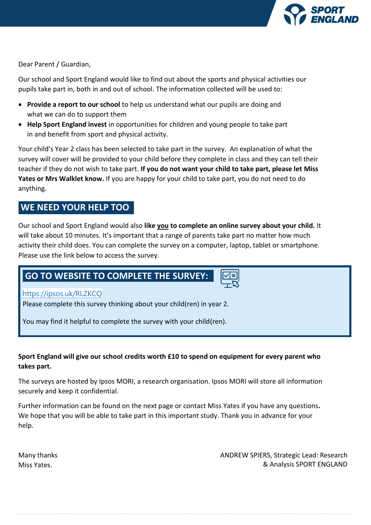

Dear Parent / Guardian,

Our school and Sport England would like to find out about the sports and physical activities our pupils take part in, both in and out of school. The information collected will be used to:

- **Provide a report to our school** to help us understand what our pupils are doing and what we can do to support them
- **Help Sport England invest** in opportunities for children and young people to take part in and benefit from sport and physical activity.

Your child's Year 2 class has been selected to take part in the survey. An explanation of what the survey will cover will be provided to your child before they complete in class and they can tell their teacher if they do not wish to take part. **If you do not want your child to take part, please let Miss Yates or Mrs Walklet know.** If you are happy for your child to take part, you do not need to do anything.

# **WE NEED YOUR HELP TOO**

Our school and Sport England would also **like you to complete an online survey about your child.** It will take about 10 minutes. It's important that a range of parents take part no matter how much activity their child does. You can complete the survey on a computer, laptop, tablet or smartphone. Please use the link below to access the survey.

# **GO TO WEBSITE TO COMPLETE THE SURVEY:**

# <https://ipsos.uk/RLZKCQ>

Please complete this survey thinking about your child(ren) in year 2.

You may find it helpful to complete the survey with your child(ren).

# **Sport England will give our school credits worth £10 to spend on equipment for every parent who takes part.**

The surveys are hosted by Ipsos MORI, a research organisation. Ipsos MORI will store all information securely and keep it confidential.

Further information can be found on the next page or contact Miss Yates if you have any questions**.**  We hope that you will be able to take part in this important study. Thank you in advance for your help.

Many thanks Miss Yates.

ANDREW SPIERS, Strategic Lead: Research & Analysis SPORT ENGLAND